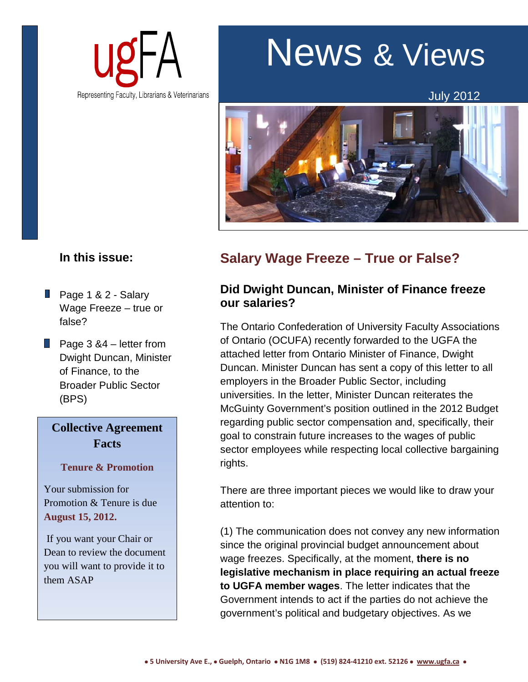

# News & Views

July 2012



# **In this issue:**

- Page 1 & 2 Salary Wage Freeze – true or false?
- **Page 3 &4** letter from Dwight Duncan, Minister of Finance, to the Broader Public Sector (BPS)

# **Collective Agreement Facts**

## **Tenure & Promotion**

Your submission for Promotion & Tenure is due **August 15, 2012.**

If you want your Chair or Dean to review the document you will want to provide it to them ASAP

# **Salary Wage Freeze – True or False?**

## **Did Dwight Duncan, Minister of Finance freeze our salaries?**

The Ontario Confederation of University Faculty Associations of Ontario (OCUFA) recently forwarded to the UGFA the attached letter from Ontario Minister of Finance, Dwight Duncan. Minister Duncan has sent a copy of this letter to all employers in the Broader Public Sector, including universities. In the letter, Minister Duncan reiterates the McGuinty Government's position outlined in the 2012 Budget regarding public sector compensation and, specifically, their goal to constrain future increases to the wages of public sector employees while respecting local collective bargaining rights.

There are three important pieces we would like to draw your attention to:

(1) The communication does not convey any new information since the original provincial budget announcement about wage freezes. Specifically, at the moment, **there is no legislative mechanism in place requiring an actual freeze to UGFA member wages**. The letter indicates that the Government intends to act if the parties do not achieve the government's political and budgetary objectives. As we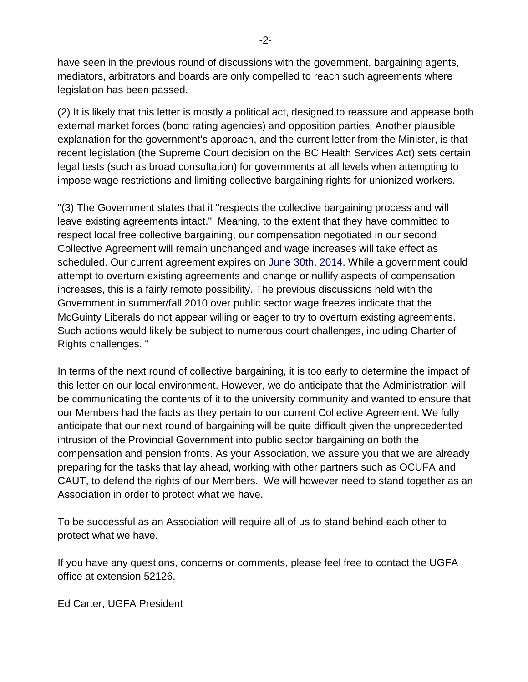have seen in the previous round of discussions with the government, bargaining agents, mediators, arbitrators and boards are only compelled to reach such agreements where legislation has been passed.

(2) It is likely that this letter is mostly a political act, designed to reassure and appease both external market forces (bond rating agencies) and opposition parties. Another plausible explanation for the government's approach, and the current letter from the Minister, is that recent legislation (the Supreme Court decision on the BC Health Services Act) sets certain legal tests (such as broad consultation) for governments at all levels when attempting to impose wage restrictions and limiting collective bargaining rights for unionized workers.

"(3) The Government states that it "respects the collective bargaining process and will leave existing agreements intact." Meaning, to the extent that they have committed to respect local free collective bargaining, our compensation negotiated in our second Collective Agreement will remain unchanged and wage increases will take effect as scheduled. Our current agreement expires on June 30th, 2014. While a government could attempt to overturn existing agreements and change or nullify aspects of compensation increases, this is a fairly remote possibility. The previous discussions held with the Government in summer/fall 2010 over public sector wage freezes indicate that the McGuinty Liberals do not appear willing or eager to try to overturn existing agreements. Such actions would likely be subject to numerous court challenges, including Charter of Rights challenges. "

In terms of the next round of collective bargaining, it is too early to determine the impact of this letter on our local environment. However, we do anticipate that the Administration will be communicating the contents of it to the university community and wanted to ensure that our Members had the facts as they pertain to our current Collective Agreement. We fully anticipate that our next round of bargaining will be quite difficult given the unprecedented intrusion of the Provincial Government into public sector bargaining on both the compensation and pension fronts. As your Association, we assure you that we are already preparing for the tasks that lay ahead, working with other partners such as OCUFA and CAUT, to defend the rights of our Members. We will however need to stand together as an Association in order to protect what we have.

To be successful as an Association will require all of us to stand behind each other to protect what we have.

If you have any questions, concerns or comments, please feel free to contact the UGFA office at extension 52126.

Ed Carter, UGFA President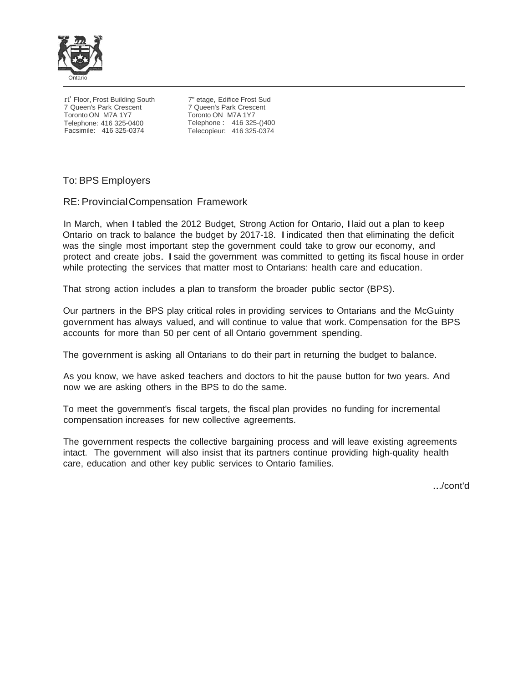

rt' Floor, Frost Building South 7 Queen's Park Crescent Toronto ON M7A 1Y7 Telephone: 416 325-0400 Facsimile: 416 325-0374

7" etage, Edifice Frost Sud 7 Queen's Park Crescent Toronto ON M7A 1Y7 Telephone : 416 325-()400 Telecopieur: 416 325-0374

### To: BPS Employers

### RE: ProvincialCompensation Framework

In March, when Itabled the <sup>2012</sup> Budget, Strong Action for Ontario, Ilaid out <sup>a</sup> plan to keep Ontario on track to balance the budget by 2017-18. Iindicated then that eliminating the deficit was the single most important step the government could take to grow our economy, and protect and create jobs. Isaid the government was committed to getting its fiscal house in order while protecting the services that matter most to Ontarians: health care and education.

That strong action includes a plan to transform the broader public sector (BPS).

Our partners in the BPS play critical roles in providing services to Ontarians and the McGuinty government has always valued, and will continue to value that work. Compensation for the BPS accounts for more than 50 per cent of all Ontario government spending.

The government is asking all Ontarians to do their part in returning the budget to balance.

As you know, we have asked teachers and doctors to hit the pause button for two years. And now we are asking others in the BPS to do the same.

To meet the government's fiscal targets, the fiscal plan provides no funding for incremental compensation increases for new collective agreements.

The government respects the collective bargaining process and will leave existing agreements intact. The government will also insist that its partners continue providing high-quality health care, education and other key public services to Ontario families.

.../cont'd